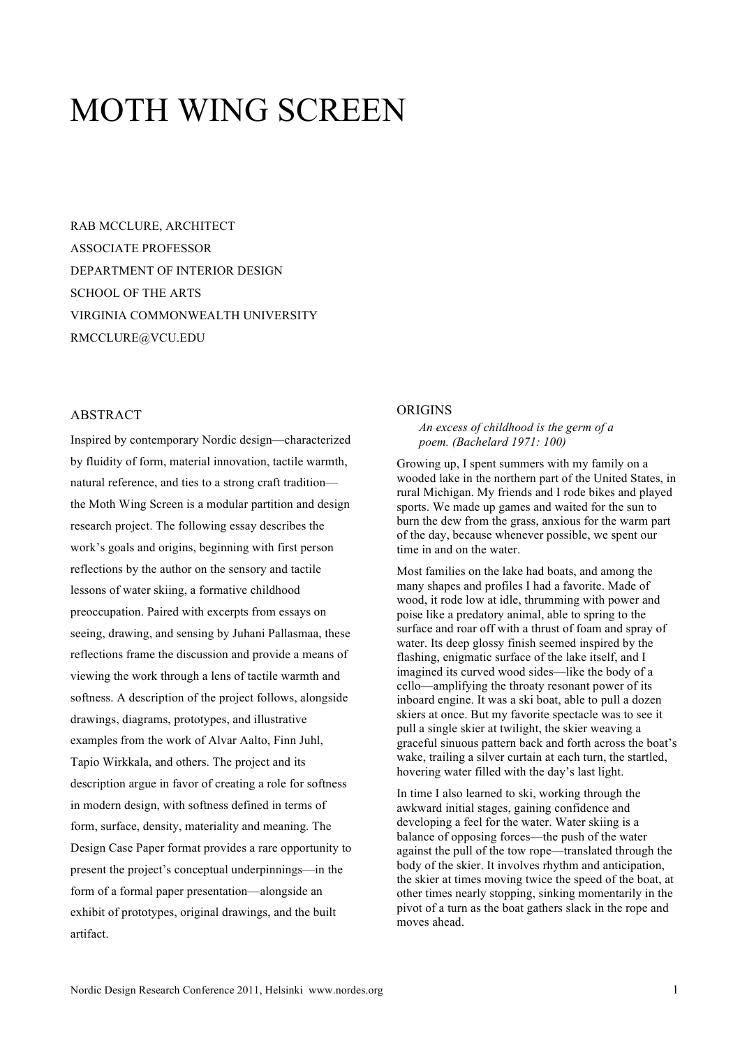# MOTH WING SCREEN

RAB MCCLURE, ARCHITECT ASSOCIATE PROFESSOR DEPARTMENT OF INTERIOR DESIGN SCHOOL OF THE ARTS VIRGINIA COMMONWEALTH UNIVERSITY RMCCLURE@VCU.EDU

## ABSTRACT

Inspired by contemporary Nordic design—characterized by fluidity of form, material innovation, tactile warmth, natural reference, and ties to a strong craft tradition the Moth Wing Screen is a modular partition and design research project. The following essay describes the work's goals and origins, beginning with first person reflections by the author on the sensory and tactile lessons of water skiing, a formative childhood preoccupation. Paired with excerpts from essays on seeing, drawing, and sensing by Juhani Pallasmaa, these reflections frame the discussion and provide a means of viewing the work through a lens of tactile warmth and softness. A description of the project follows, alongside drawings, diagrams, prototypes, and illustrative examples from the work of Alvar Aalto, Finn Juhl, Tapio Wirkkala, and others. The project and its description argue in favor of creating a role for softness in modern design, with softness defined in terms of form, surface, density, materiality and meaning. The Design Case Paper format provides a rare opportunity to present the project's conceptual underpinnings—in the form of a formal paper presentation—alongside an exhibit of prototypes, original drawings, and the built artifact.

#### **ORIGINS**

### *An excess of childhood is the germ of a poem. (Bachelard 1971: 100)*

Growing up, I spent summers with my family on a wooded lake in the northern part of the United States, in rural Michigan. My friends and I rode bikes and played sports. We made up games and waited for the sun to burn the dew from the grass, anxious for the warm part of the day, because whenever possible, we spent our time in and on the water.

Most families on the lake had boats, and among the many shapes and profiles I had a favorite. Made of wood, it rode low at idle, thrumming with power and poise like a predatory animal, able to spring to the surface and roar off with a thrust of foam and spray of water. Its deep glossy finish seemed inspired by the flashing, enigmatic surface of the lake itself, and I imagined its curved wood sides—like the body of a cello—amplifying the throaty resonant power of its inboard engine. It was a ski boat, able to pull a dozen skiers at once. But my favorite spectacle was to see it pull a single skier at twilight, the skier weaving a graceful sinuous pattern back and forth across the boat's wake, trailing a silver curtain at each turn, the startled, hovering water filled with the day's last light.

In time I also learned to ski, working through the awkward initial stages, gaining confidence and developing a feel for the water. Water skiing is a balance of opposing forces—the push of the water against the pull of the tow rope—translated through the body of the skier. It involves rhythm and anticipation, the skier at times moving twice the speed of the boat, at other times nearly stopping, sinking momentarily in the pivot of a turn as the boat gathers slack in the rope and moves ahead.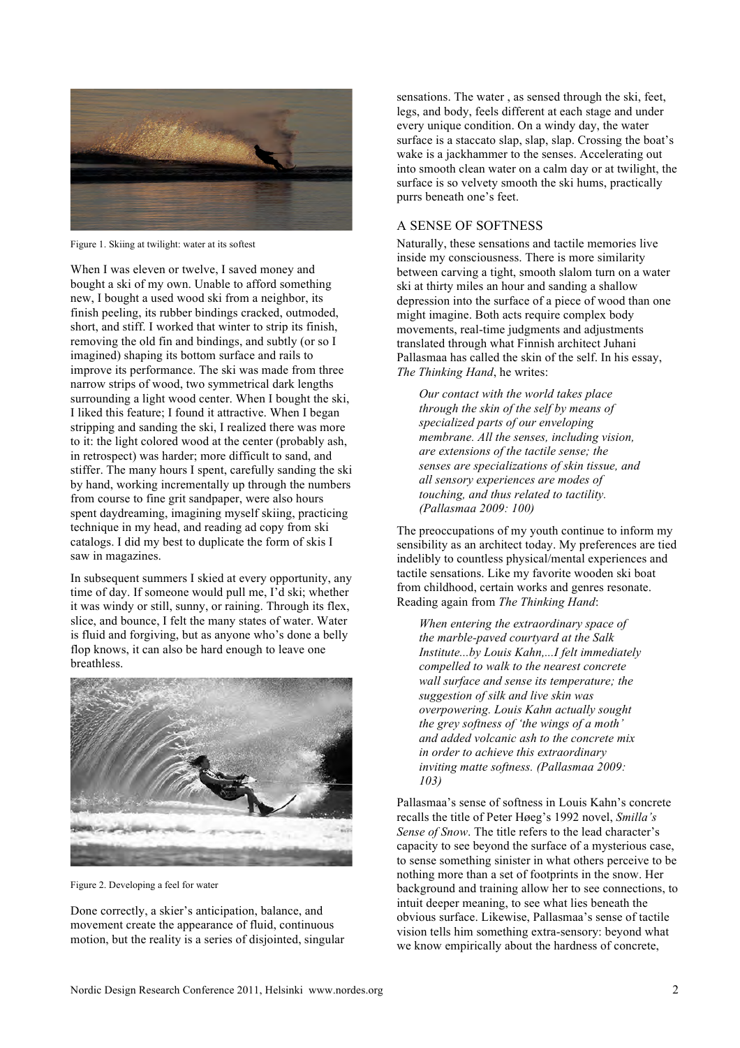

Figure 1. Skiing at twilight: water at its softest

When I was eleven or twelve, I saved money and bought a ski of my own. Unable to afford something new, I bought a used wood ski from a neighbor, its finish peeling, its rubber bindings cracked, outmoded, short, and stiff. I worked that winter to strip its finish, removing the old fin and bindings, and subtly (or so I imagined) shaping its bottom surface and rails to improve its performance. The ski was made from three narrow strips of wood, two symmetrical dark lengths surrounding a light wood center. When I bought the ski, I liked this feature; I found it attractive. When I began stripping and sanding the ski, I realized there was more to it: the light colored wood at the center (probably ash, in retrospect) was harder; more difficult to sand, and stiffer. The many hours I spent, carefully sanding the ski by hand, working incrementally up through the numbers from course to fine grit sandpaper, were also hours spent daydreaming, imagining myself skiing, practicing technique in my head, and reading ad copy from ski catalogs. I did my best to duplicate the form of skis I saw in magazines.

In subsequent summers I skied at every opportunity, any time of day. If someone would pull me, I'd ski; whether it was windy or still, sunny, or raining. Through its flex, slice, and bounce, I felt the many states of water. Water is fluid and forgiving, but as anyone who's done a belly flop knows, it can also be hard enough to leave one breathless.



Figure 2. Developing a feel for water

Done correctly, a skier's anticipation, balance, and movement create the appearance of fluid, continuous motion, but the reality is a series of disjointed, singular sensations. The water , as sensed through the ski, feet, legs, and body, feels different at each stage and under every unique condition. On a windy day, the water surface is a staccato slap, slap, slap. Crossing the boat's wake is a jackhammer to the senses. Accelerating out into smooth clean water on a calm day or at twilight, the surface is so velvety smooth the ski hums, practically purrs beneath one's feet.

# A SENSE OF SOFTNESS

Naturally, these sensations and tactile memories live inside my consciousness. There is more similarity between carving a tight, smooth slalom turn on a water ski at thirty miles an hour and sanding a shallow depression into the surface of a piece of wood than one might imagine. Both acts require complex body movements, real-time judgments and adjustments translated through what Finnish architect Juhani Pallasmaa has called the skin of the self. In his essay, *The Thinking Hand*, he writes:

*Our contact with the world takes place through the skin of the self by means of specialized parts of our enveloping membrane. All the senses, including vision, are extensions of the tactile sense; the senses are specializations of skin tissue, and all sensory experiences are modes of touching, and thus related to tactility. (Pallasmaa 2009: 100)*

The preoccupations of my youth continue to inform my sensibility as an architect today. My preferences are tied indelibly to countless physical/mental experiences and tactile sensations. Like my favorite wooden ski boat from childhood, certain works and genres resonate. Reading again from *The Thinking Hand*:

*When entering the extraordinary space of the marble-paved courtyard at the Salk Institute...by Louis Kahn,...I felt immediately compelled to walk to the nearest concrete wall surface and sense its temperature; the suggestion of silk and live skin was overpowering. Louis Kahn actually sought the grey softness of 'the wings of a moth' and added volcanic ash to the concrete mix in order to achieve this extraordinary inviting matte softness. (Pallasmaa 2009: 103)*

Pallasmaa's sense of softness in Louis Kahn's concrete recalls the title of Peter Høeg's 1992 novel, *Smilla's Sense of Snow*. The title refers to the lead character's capacity to see beyond the surface of a mysterious case, to sense something sinister in what others perceive to be nothing more than a set of footprints in the snow. Her background and training allow her to see connections, to intuit deeper meaning, to see what lies beneath the obvious surface. Likewise, Pallasmaa's sense of tactile vision tells him something extra-sensory: beyond what we know empirically about the hardness of concrete,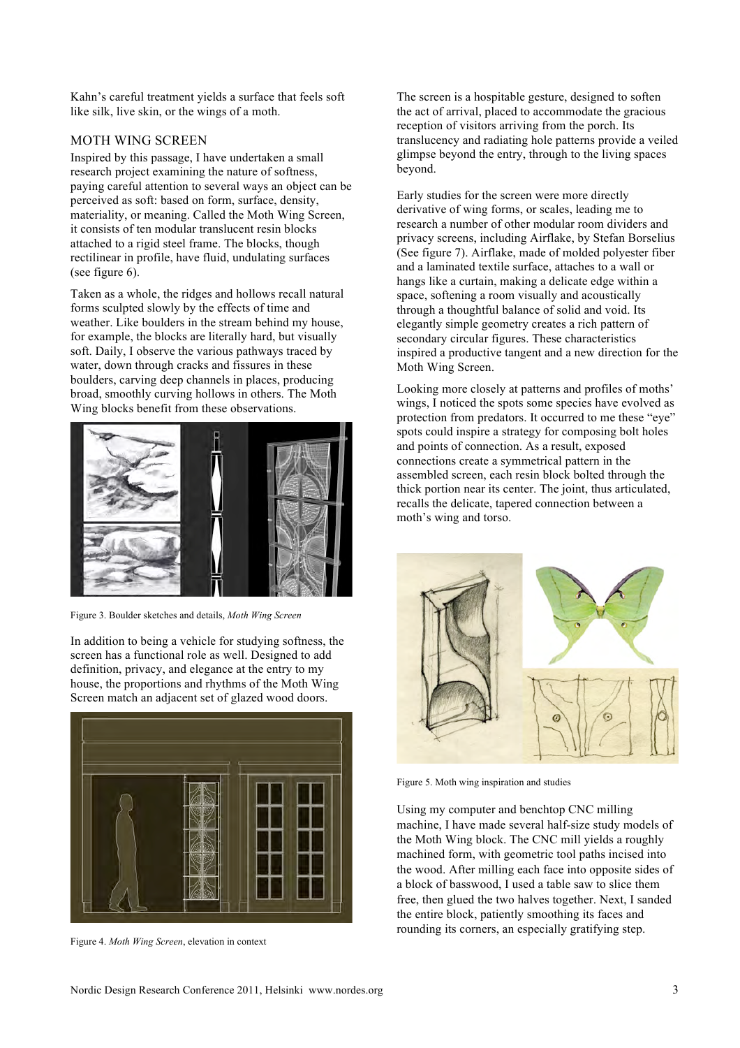Kahn's careful treatment yields a surface that feels soft like silk, live skin, or the wings of a moth.

## MOTH WING SCREEN

Inspired by this passage, I have undertaken a small research project examining the nature of softness, paying careful attention to several ways an object can be perceived as soft: based on form, surface, density, materiality, or meaning. Called the Moth Wing Screen, it consists of ten modular translucent resin blocks attached to a rigid steel frame. The blocks, though rectilinear in profile, have fluid, undulating surfaces (see figure 6).

Taken as a whole, the ridges and hollows recall natural forms sculpted slowly by the effects of time and weather. Like boulders in the stream behind my house, for example, the blocks are literally hard, but visually soft. Daily, I observe the various pathways traced by water, down through cracks and fissures in these boulders, carving deep channels in places, producing broad, smoothly curving hollows in others. The Moth Wing blocks benefit from these observations.



Figure 3. Boulder sketches and details, *Moth Wing Screen*

In addition to being a vehicle for studying softness, the screen has a functional role as well. Designed to add definition, privacy, and elegance at the entry to my house, the proportions and rhythms of the Moth Wing Screen match an adjacent set of glazed wood doors.



Figure 4. *Moth Wing Screen*, elevation in context

The screen is a hospitable gesture, designed to soften the act of arrival, placed to accommodate the gracious reception of visitors arriving from the porch. Its translucency and radiating hole patterns provide a veiled glimpse beyond the entry, through to the living spaces beyond.

Early studies for the screen were more directly derivative of wing forms, or scales, leading me to research a number of other modular room dividers and privacy screens, including Airflake, by Stefan Borselius (See figure 7). Airflake, made of molded polyester fiber and a laminated textile surface, attaches to a wall or hangs like a curtain, making a delicate edge within a space, softening a room visually and acoustically through a thoughtful balance of solid and void. Its elegantly simple geometry creates a rich pattern of secondary circular figures. These characteristics inspired a productive tangent and a new direction for the Moth Wing Screen.

Looking more closely at patterns and profiles of moths' wings. I noticed the spots some species have evolved as protection from predators. It occurred to me these "eye" spots could inspire a strategy for composing bolt holes and points of connection. As a result, exposed connections create a symmetrical pattern in the assembled screen, each resin block bolted through the thick portion near its center. The joint, thus articulated, recalls the delicate, tapered connection between a moth's wing and torso.



Figure 5. Moth wing inspiration and studies

Using my computer and benchtop CNC milling machine, I have made several half-size study models of the Moth Wing block. The CNC mill yields a roughly machined form, with geometric tool paths incised into the wood. After milling each face into opposite sides of a block of basswood, I used a table saw to slice them free, then glued the two halves together. Next, I sanded the entire block, patiently smoothing its faces and rounding its corners, an especially gratifying step.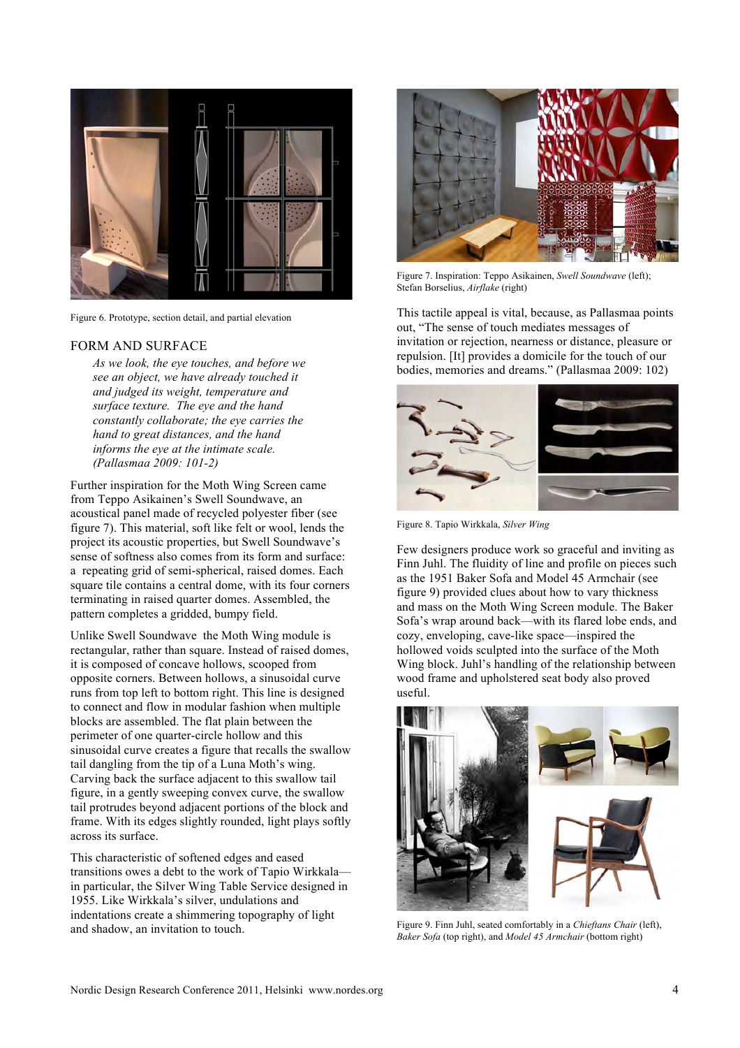

Figure 6. Prototype, section detail, and partial elevation

#### FORM AND SURFACE

*As we look, the eye touches, and before we see an object, we have already touched it and judged its weight, temperature and surface texture. The eye and the hand constantly collaborate; the eye carries the hand to great distances, and the hand informs the eye at the intimate scale. (Pallasmaa 2009: 101-2)*

Further inspiration for the Moth Wing Screen came from Teppo Asikainen's Swell Soundwave, an acoustical panel made of recycled polyester fiber (see figure 7). This material, soft like felt or wool, lends the project its acoustic properties, but Swell Soundwave's sense of softness also comes from its form and surface: a repeating grid of semi-spherical, raised domes. Each square tile contains a central dome, with its four corners terminating in raised quarter domes. Assembled, the pattern completes a gridded, bumpy field.

Unlike Swell Soundwave the Moth Wing module is rectangular, rather than square. Instead of raised domes, it is composed of concave hollows, scooped from opposite corners. Between hollows, a sinusoidal curve runs from top left to bottom right. This line is designed to connect and flow in modular fashion when multiple blocks are assembled. The flat plain between the perimeter of one quarter-circle hollow and this sinusoidal curve creates a figure that recalls the swallow tail dangling from the tip of a Luna Moth's wing. Carving back the surface adjacent to this swallow tail figure, in a gently sweeping convex curve, the swallow tail protrudes beyond adjacent portions of the block and frame. With its edges slightly rounded, light plays softly across its surface.

This characteristic of softened edges and eased transitions owes a debt to the work of Tapio Wirkkala in particular, the Silver Wing Table Service designed in 1955. Like Wirkkala's silver, undulations and indentations create a shimmering topography of light and shadow, an invitation to touch.



Figure 7. Inspiration: Teppo Asikainen, *Swell Soundwave* (left); Stefan Borselius, *Airflake* (right)

This tactile appeal is vital, because, as Pallasmaa points out, "The sense of touch mediates messages of invitation or rejection, nearness or distance, pleasure or repulsion. [It] provides a domicile for the touch of our bodies, memories and dreams." (Pallasmaa 2009: 102)



Figure 8. Tapio Wirkkala, *Silver Wing*

Few designers produce work so graceful and inviting as Finn Juhl. The fluidity of line and profile on pieces such as the 1951 Baker Sofa and Model 45 Armchair (see figure 9) provided clues about how to vary thickness and mass on the Moth Wing Screen module. The Baker Sofa's wrap around back—with its flared lobe ends, and cozy, enveloping, cave-like space—inspired the hollowed voids sculpted into the surface of the Moth Wing block. Juhl's handling of the relationship between wood frame and upholstered seat body also proved useful.



Figure 9. Finn Juhl, seated comfortably in a *Chieftans Chair* (left), *Baker Sofa* (top right), and *Model 45 Armchair* (bottom right)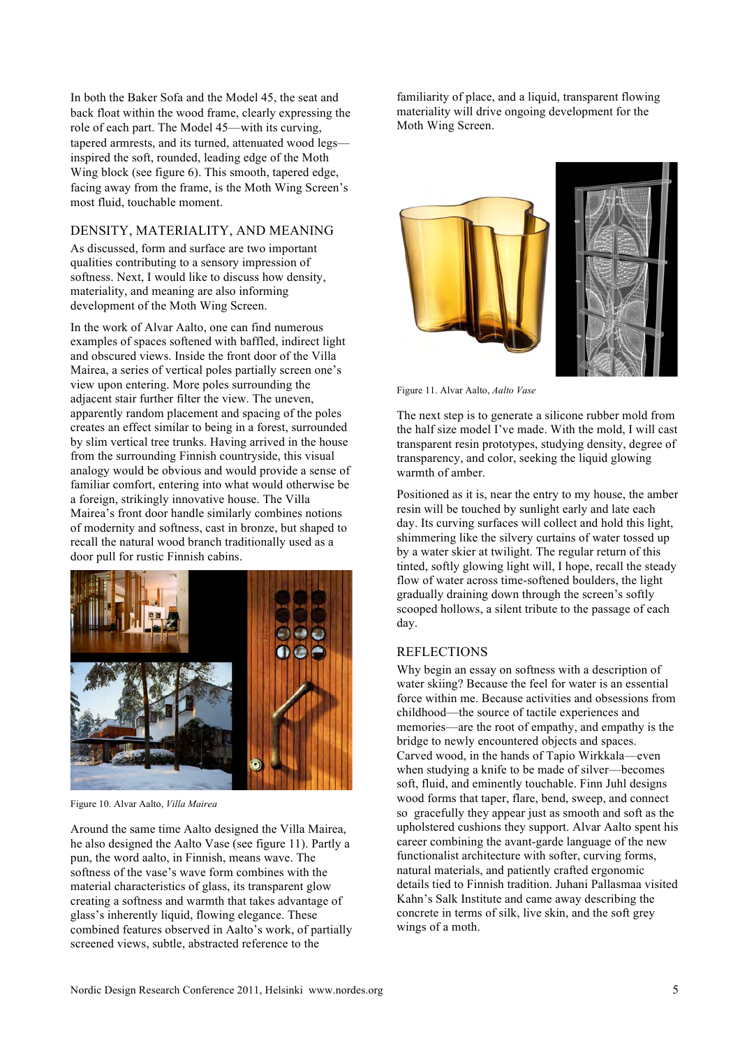In both the Baker Sofa and the Model 45, the seat and back float within the wood frame, clearly expressing the role of each part. The Model 45—with its curving, tapered armrests, and its turned, attenuated wood legs inspired the soft, rounded, leading edge of the Moth Wing block (see figure 6). This smooth, tapered edge, facing away from the frame, is the Moth Wing Screen's most fluid, touchable moment.

## DENSITY, MATERIALITY, AND MEANING

As discussed, form and surface are two important qualities contributing to a sensory impression of softness. Next, I would like to discuss how density, materiality, and meaning are also informing development of the Moth Wing Screen.

In the work of Alvar Aalto, one can find numerous examples of spaces softened with baffled, indirect light and obscured views. Inside the front door of the Villa Mairea, a series of vertical poles partially screen one's view upon entering. More poles surrounding the adjacent stair further filter the view. The uneven, apparently random placement and spacing of the poles creates an effect similar to being in a forest, surrounded by slim vertical tree trunks. Having arrived in the house from the surrounding Finnish countryside, this visual analogy would be obvious and would provide a sense of familiar comfort, entering into what would otherwise be a foreign, strikingly innovative house. The Villa Mairea's front door handle similarly combines notions of modernity and softness, cast in bronze, but shaped to recall the natural wood branch traditionally used as a door pull for rustic Finnish cabins.



Figure 10. Alvar Aalto, *Villa Mairea*

Around the same time Aalto designed the Villa Mairea, he also designed the Aalto Vase (see figure 11). Partly a pun, the word aalto, in Finnish, means wave. The softness of the vase's wave form combines with the material characteristics of glass, its transparent glow creating a softness and warmth that takes advantage of glass's inherently liquid, flowing elegance. These combined features observed in Aalto's work, of partially screened views, subtle, abstracted reference to the

familiarity of place, and a liquid, transparent flowing materiality will drive ongoing development for the Moth Wing Screen.



Figure 11. Alvar Aalto, *Aalto Vase*

The next step is to generate a silicone rubber mold from the half size model I've made. With the mold, I will cast transparent resin prototypes, studying density, degree of transparency, and color, seeking the liquid glowing warmth of amber.

Positioned as it is, near the entry to my house, the amber resin will be touched by sunlight early and late each day. Its curving surfaces will collect and hold this light, shimmering like the silvery curtains of water tossed up by a water skier at twilight. The regular return of this tinted, softly glowing light will, I hope, recall the steady flow of water across time-softened boulders, the light gradually draining down through the screen's softly scooped hollows, a silent tribute to the passage of each day.

#### REFLECTIONS

Why begin an essay on softness with a description of water skiing? Because the feel for water is an essential force within me. Because activities and obsessions from childhood—the source of tactile experiences and memories—are the root of empathy, and empathy is the bridge to newly encountered objects and spaces. Carved wood, in the hands of Tapio Wirkkala—even when studying a knife to be made of silver—becomes soft, fluid, and eminently touchable. Finn Juhl designs wood forms that taper, flare, bend, sweep, and connect so gracefully they appear just as smooth and soft as the upholstered cushions they support. Alvar Aalto spent his career combining the avant-garde language of the new functionalist architecture with softer, curving forms, natural materials, and patiently crafted ergonomic details tied to Finnish tradition. Juhani Pallasmaa visited Kahn's Salk Institute and came away describing the concrete in terms of silk, live skin, and the soft grey wings of a moth.